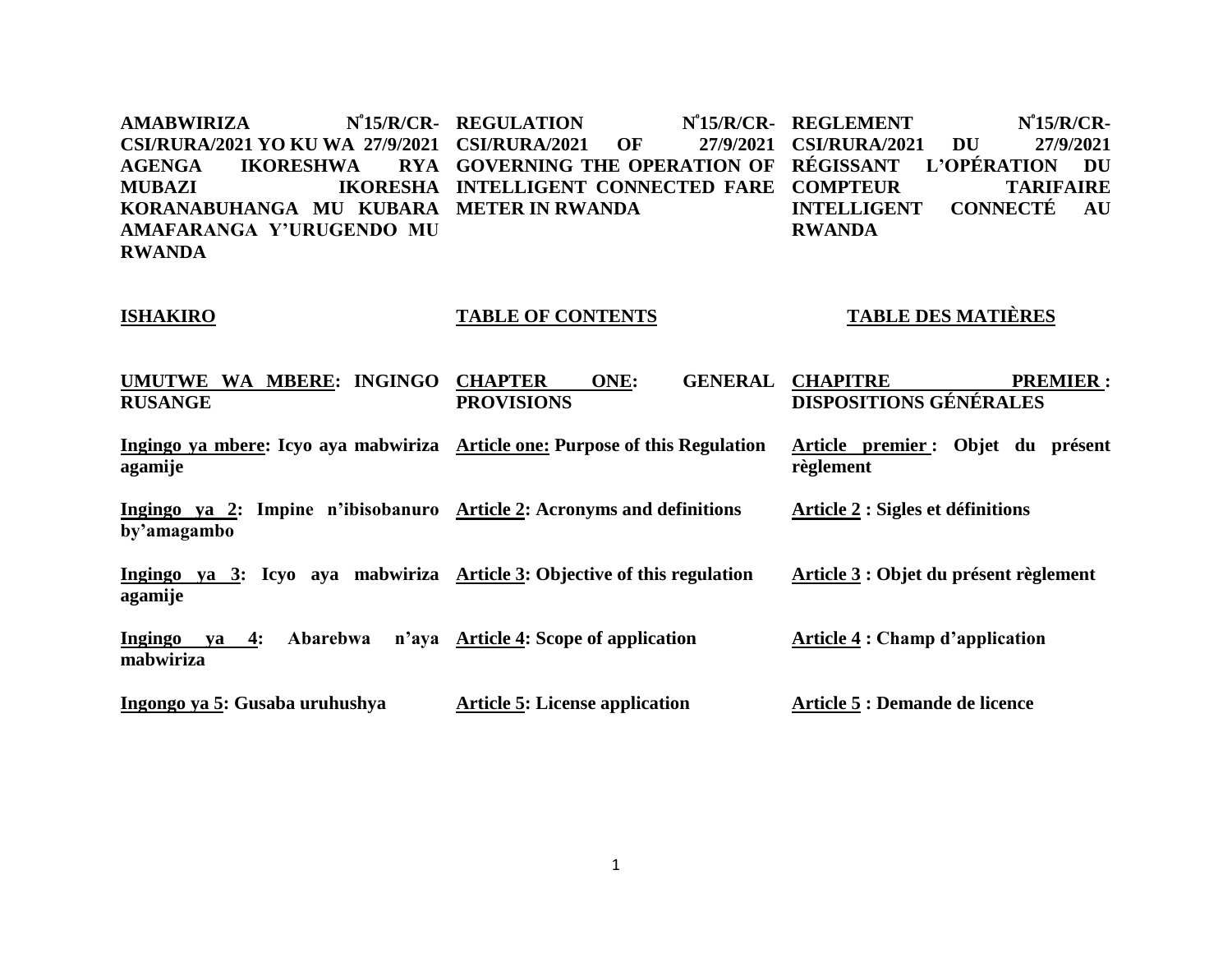$AMABWIRIZA$ **CSI/RURA/2021 YO KU WA 27/9/2021 CSI/RURA/2021 OF 27/9/2021 AGENGA IKORESHWA IKORESHA INTELLIGENT CONNECTED FARE COMPTEUR TARIFAIRE KORANABUHANGA MU KUBARA METER IN RWANDA AMAFARANGA Y'URUGENDO MU RWANDA REGULATION N⁰15/R/CR-GOVERNING THE OPERATION OF RÉGISSANT L'OPÉRATION DU**  N<sup>°</sup>15/R/CR- REGLEMENT N<sup>°</sup>15/R/CR-**CSI/RURA/2021 DU 27/9/2021 INTELLIGENT CONNECTÉ AU RWANDA**

### **ISHAKIRO**

### **TABLE OF CONTENTS**

### **TABLE DES MATIÈRES**

**Article 2 : Sigles et définitions**

**UMUTWE WA MBERE: INGINGO CHAPTER ONE: GENERAL RUSANGE PROVISIONS** GENERAL CHAPITRE PREMIER : **DISPOSITIONS GÉNÉRALES** 

**Ingingo ya mbere: Icyo aya mabwiriza Article one: Purpose of this Regulation agamije Article premier : Objet du présent règlement**

**Ingingo ya 2: Impine n'ibisobanuro Article 2: Acronyms and definitions by'amagambo** 

**Ingingo ya 3: Icyo aya mabwiriza Article 3: Objective of this regulation agamije Article 3 : Objet du présent règlement**

**Ingingo ya 4: Abarebwa n'aya Article 4: Scope of application mabwiriza Article 4 : Champ d'application** 

**Ingongo ya 5: Gusaba uruhushya Article 5: License application Article 5 : Demande de licence**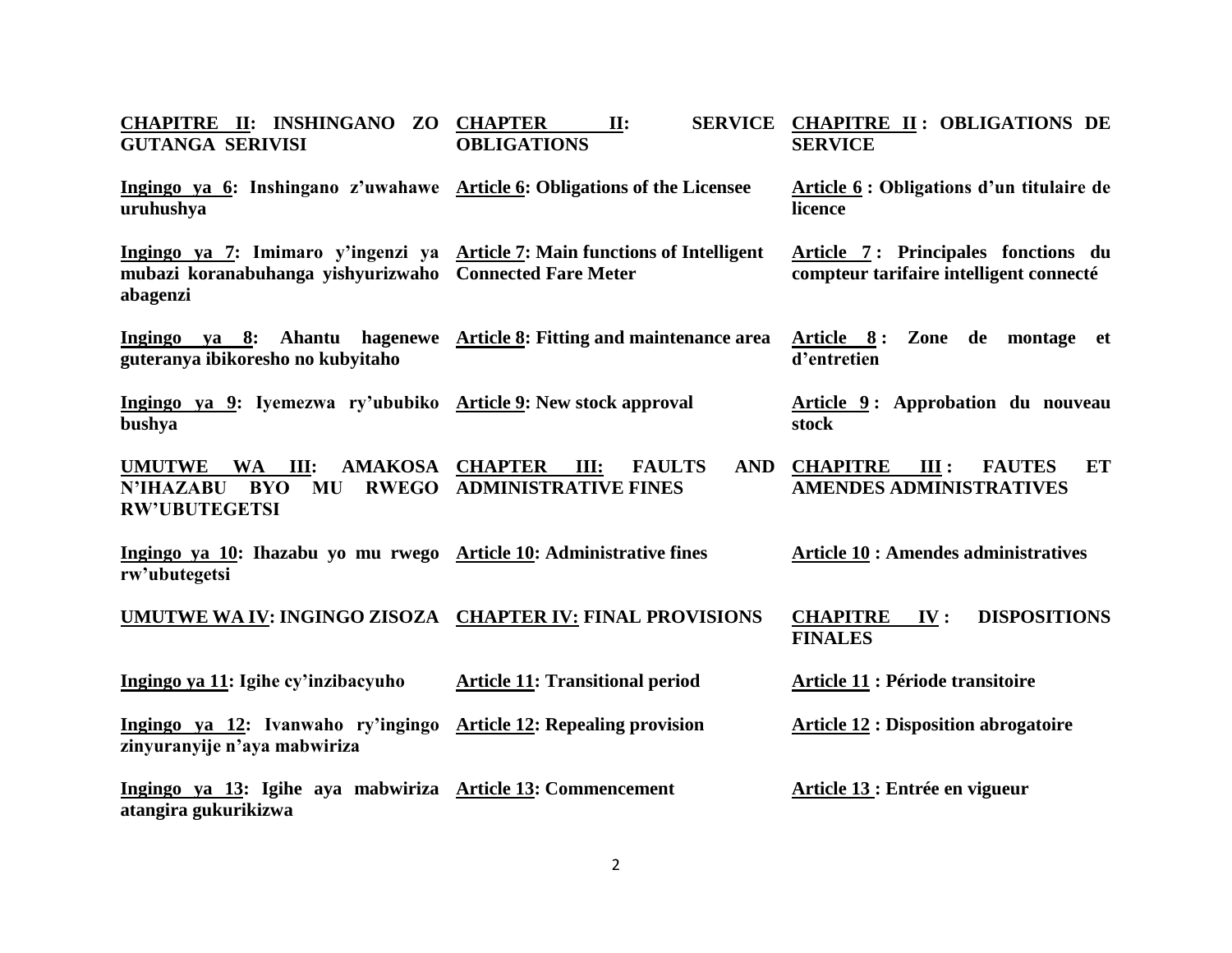| CHAPITRE II: INSHINGANO ZO CHAPTER<br><b>GUTANGA SERIVISI</b>                                                                                      | $\Pi$ :<br><b>OBLIGATIONS</b>                                            | SERVICE CHAPITRE II: OBLIGATIONS DE<br><b>SERVICE</b>                          |
|----------------------------------------------------------------------------------------------------------------------------------------------------|--------------------------------------------------------------------------|--------------------------------------------------------------------------------|
| Ingingo ya 6: Inshingano z'uwahawe Article 6: Obligations of the Licensee<br>uruhushya                                                             |                                                                          | Article 6 : Obligations d'un titulaire de<br>licence                           |
| Ingingo ya 7: Imimaro y'ingenzi ya Article 7: Main functions of Intelligent<br>mubazi koranabuhanga yishyurizwaho Connected Fare Meter<br>abagenzi |                                                                          | Article 7: Principales fonctions du<br>compteur tarifaire intelligent connecté |
| Ingingo ya 8: Ahantu hagenewe Article 8: Fitting and maintenance area<br>guteranya ibikoresho no kubyitaho                                         |                                                                          | Article 8: Zone de montage et<br>d'entretien                                   |
| Ingingo ya 9: Iyemezwa ry'ububiko Article 9: New stock approval<br>bushya                                                                          |                                                                          | Article 9: Approbation du nouveau<br>stock                                     |
| AMAKOSA CHAPTER<br><b>UMUTWE</b><br>WA III:<br>N'IHAZABU<br><b>MU</b><br><b>BYO</b><br><b>RW'UBUTEGETSI</b>                                        | <b>AND</b><br>III:<br><b>FAULTS</b><br><b>RWEGO ADMINISTRATIVE FINES</b> | <b>CHAPITRE</b> III :<br><b>FAUTES</b><br>ET<br><b>AMENDES ADMINISTRATIVES</b> |
| Ingingo ya 10: Ihazabu yo mu rwego Article 10: Administrative fines<br>rw'ubutegetsi                                                               |                                                                          | <b>Article 10 : Amendes administratives</b>                                    |
| UMUTWE WA IV: INGINGO ZISOZA CHAPTER IV: FINAL PROVISIONS                                                                                          |                                                                          | <b>DISPOSITIONS</b><br><b>CHAPITRE</b><br>IV:<br><b>FINALES</b>                |
| Ingingo ya 11: Igihe cy'inzibacyuho                                                                                                                | <b>Article 11: Transitional period</b>                                   | Article 11 : Période transitoire                                               |
| Ingingo ya 12: Ivanwaho ry'ingingo Article 12: Repealing provision<br>zinyuranyije n'aya mabwiriza                                                 |                                                                          | <b>Article 12 : Disposition abrogatoire</b>                                    |
| Ingingo ya 13: Igihe aya mabwiriza Article 13: Commencement<br>atangira gukurikizwa                                                                |                                                                          | Article 13 : Entrée en vigueur                                                 |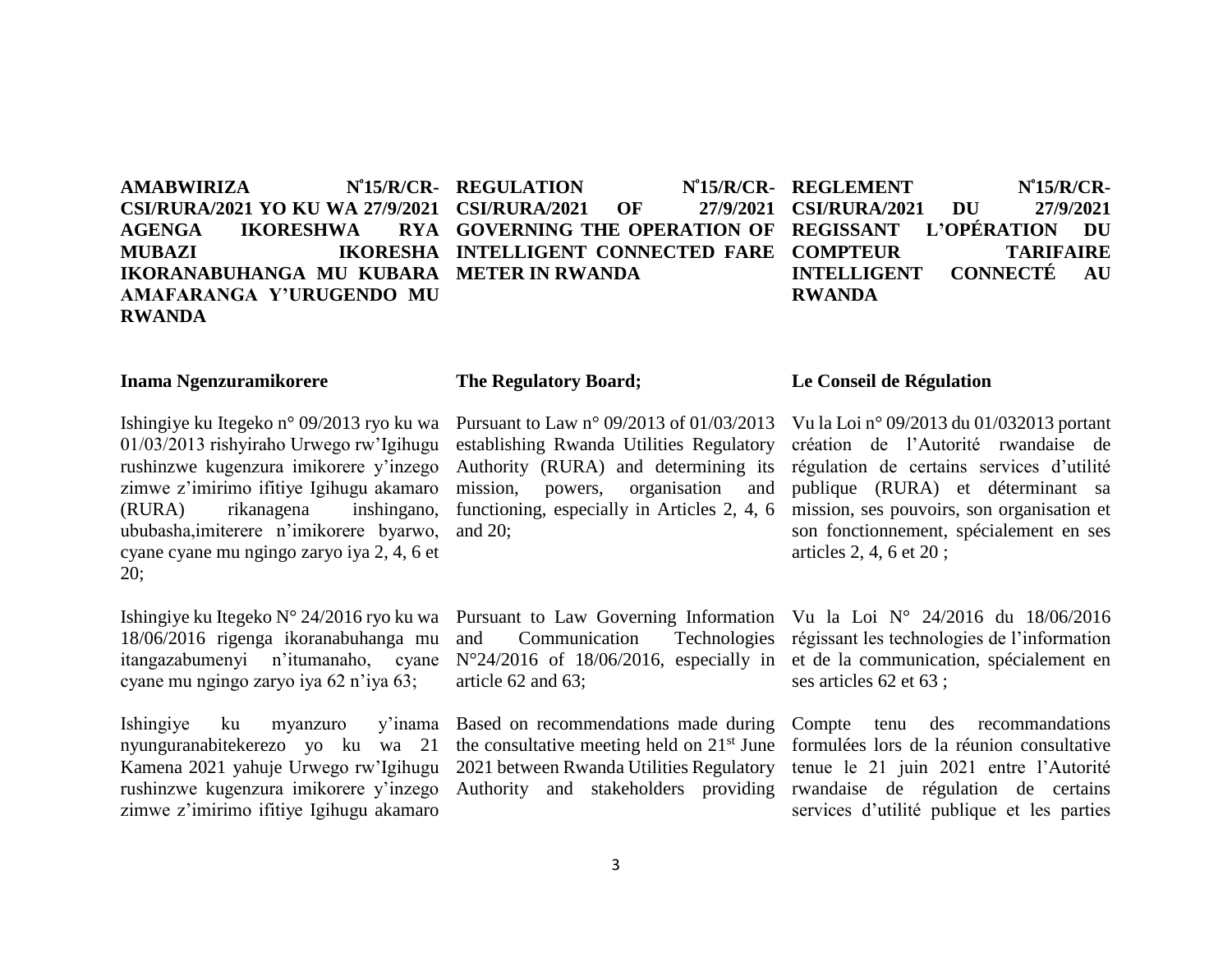$AMABWIRIZA$ **CSI/RURA/2021 YO KU WA 27/9/2021 CSI/RURA/2021 OF 27/9/2021**  AGENGA **IKORESHWA IKORESHA INTELLIGENT CONNECTED FARE COMPTEUR TARIFAIRE IKORANABUHANGA MU KUBARA METER IN RWANDA AMAFARANGA Y'URUGENDO MU RWANDA**  N<sup>°</sup>15/R/CR- REGULATION **GOVERNING THE OPERATION OF**  N<sup>°</sup>15/R/CR- REGLEMENT N<sup>°</sup>15/R/CR-**CSI/RURA/2021 DU 27/9/2021 REGISSANT L'OPÉRATION DU INTELLIGENT CONNECTÉ AU RWANDA**

### **Inama Ngenzuramikorere**

### **The Regulatory Board;**

Ishingiye ku Itegeko n° 09/2013 ryo ku wa 01/03/2013 rishyiraho Urwego rw'Igihugu rushinzwe kugenzura imikorere y'inzego zimwe z'imirimo ifitiye Igihugu akamaro (RURA) rikanagena inshingano, ububasha,imiterere n'imikorere byarwo, cyane cyane mu ngingo zaryo iya 2, 4, 6 et 20;

Ishingiye ku Itegeko N° 24/2016 ryo ku wa 18/06/2016 rigenga ikoranabuhanga mu cyane mu ngingo zaryo iya 62 n'iya 63;

Ishingiye ku myanzuro y'inama Based on recommendations made during nyunguranabitekerezo yo ku wa 21 Kamena 2021 yahuje Urwego rw'Igihugu rushinzwe kugenzura imikorere y'inzego zimwe z'imirimo ifitiye Igihugu akamaro

mission, powers, organisation and functioning, especially in Articles 2, 4, 6 and 20;

Pursuant to Law n° 09/2013 of 01/03/2013 establishing Rwanda Utilities Regulatory Authority (RURA) and determining its

Pursuant to Law Governing Information and Communication Technologies article 62 and 63;

the consultative meeting held on  $21<sup>st</sup>$  June 2021 between Rwanda Utilities Regulatory

### **Le Conseil de Régulation**

Vu la Loi n° 09/2013 du 01/032013 portant création de l'Autorité rwandaise de régulation de certains services d'utilité publique (RURA) et déterminant sa mission, ses pouvoirs, son organisation et son fonctionnement, spécialement en ses articles 2, 4, 6 et 20 ;

itangazabumenyi n'itumanaho, cyane N°24/2016 of 18/06/2016, especially in et de la communication, spécialement en Vu la Loi N° 24/2016 du 18/06/2016 régissant les technologies de l'information ses articles 62 et 63 ;

> Authority and stakeholders providing rwandaise de régulation de certains Compte tenu des recommandations formulées lors de la réunion consultative tenue le 21 juin 2021 entre l'Autorité services d'utilité publique et les parties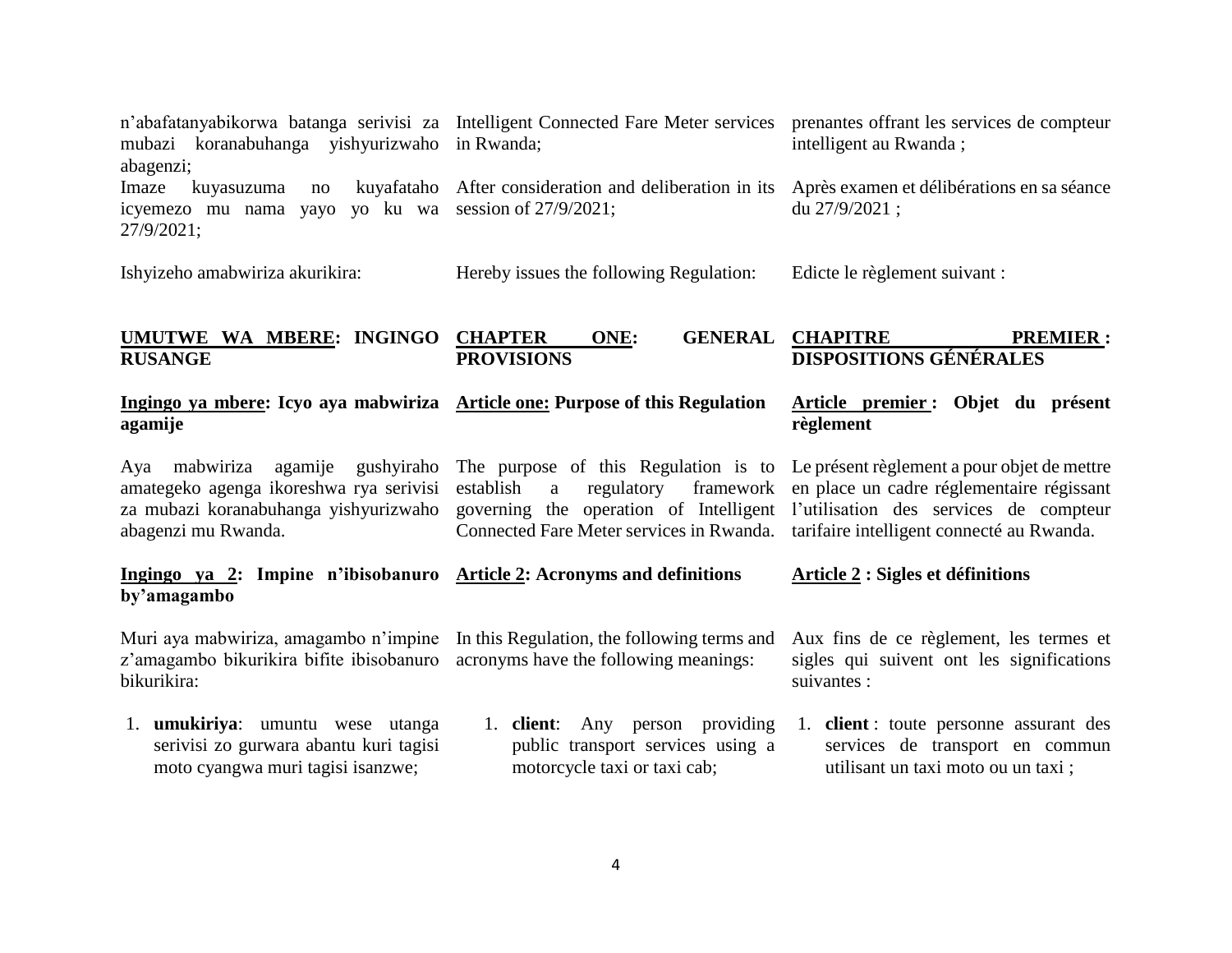| mubazi koranabuhanga yishyurizwaho in Rwanda;<br>abagenzi;                                                                                                                         | n'abafatanyabikorwa batanga serivisi za Intelligent Connected Fare Meter services prenantes offrant les services de compteur                                                                                                                               | intelligent au Rwanda;                                                                                                  |
|------------------------------------------------------------------------------------------------------------------------------------------------------------------------------------|------------------------------------------------------------------------------------------------------------------------------------------------------------------------------------------------------------------------------------------------------------|-------------------------------------------------------------------------------------------------------------------------|
| Imaze<br>kuyasuzuma<br>no<br>icyemezo mu nama yayo yo ku wa session of 27/9/2021;<br>27/9/2021;                                                                                    | kuyafataho After consideration and deliberation in its                                                                                                                                                                                                     | Après examen et délibérations en sa séance<br>du 27/9/2021;                                                             |
| Ishyizeho amabwiriza akurikira:                                                                                                                                                    | Hereby issues the following Regulation:                                                                                                                                                                                                                    | Edicte le règlement suivant :                                                                                           |
| UMUTWE WA MBERE: INGINGO<br><b>RUSANGE</b>                                                                                                                                         | <b>GENERAL</b><br><b>CHAPTER</b><br>ONE:<br><b>PROVISIONS</b>                                                                                                                                                                                              | <b>CHAPITRE</b><br><b>PREMIER:</b><br><b>DISPOSITIONS GÉNÉRALES</b>                                                     |
| Ingingo ya mbere: Icyo aya mabwiriza Article one: Purpose of this Regulation<br>agamije                                                                                            |                                                                                                                                                                                                                                                            | Article premier: Objet du présent<br>règlement                                                                          |
| agamije<br>gushyiraho<br>mabwiriza<br>Aya<br>amategeko agenga ikoreshwa rya serivisi<br>za mubazi koranabuhanga yishyurizwaho<br>abagenzi mu Rwanda.                               | The purpose of this Regulation is to Le présent règlement a pour objet de mettre<br>establish<br>regulatory<br>framework<br>a<br>governing the operation of Intelligent l'utilisation des services de compteur<br>Connected Fare Meter services in Rwanda. | en place un cadre réglementaire régissant<br>tarifaire intelligent connecté au Rwanda.                                  |
| Ingingo ya 2: Impine n'ibisobanuro Article 2: Acronyms and definitions<br>by'amagambo                                                                                              |                                                                                                                                                                                                                                                            | Article 2 : Sigles et définitions                                                                                       |
| Muri aya mabwiriza, amagambo n'impine In this Regulation, the following terms and<br>z'amagambo bikurikira bifite ibisobanuro acronyms have the following meanings:<br>bikurikira: |                                                                                                                                                                                                                                                            | Aux fins de ce règlement, les termes et<br>sigles qui suivent ont les significations<br>suivantes :                     |
| 1. <b>umukiriya</b> : umuntu wese utanga<br>serivisi zo gurwara abantu kuri tagisi<br>moto cyangwa muri tagisi isanzwe;                                                            | 1. <b>client</b> : Any person providing<br>public transport services using a<br>motorcycle taxi or taxi cab;                                                                                                                                               | 1. <b>client</b> : toute personne assurant des<br>services de transport en commun<br>utilisant un taxi moto ou un taxi; |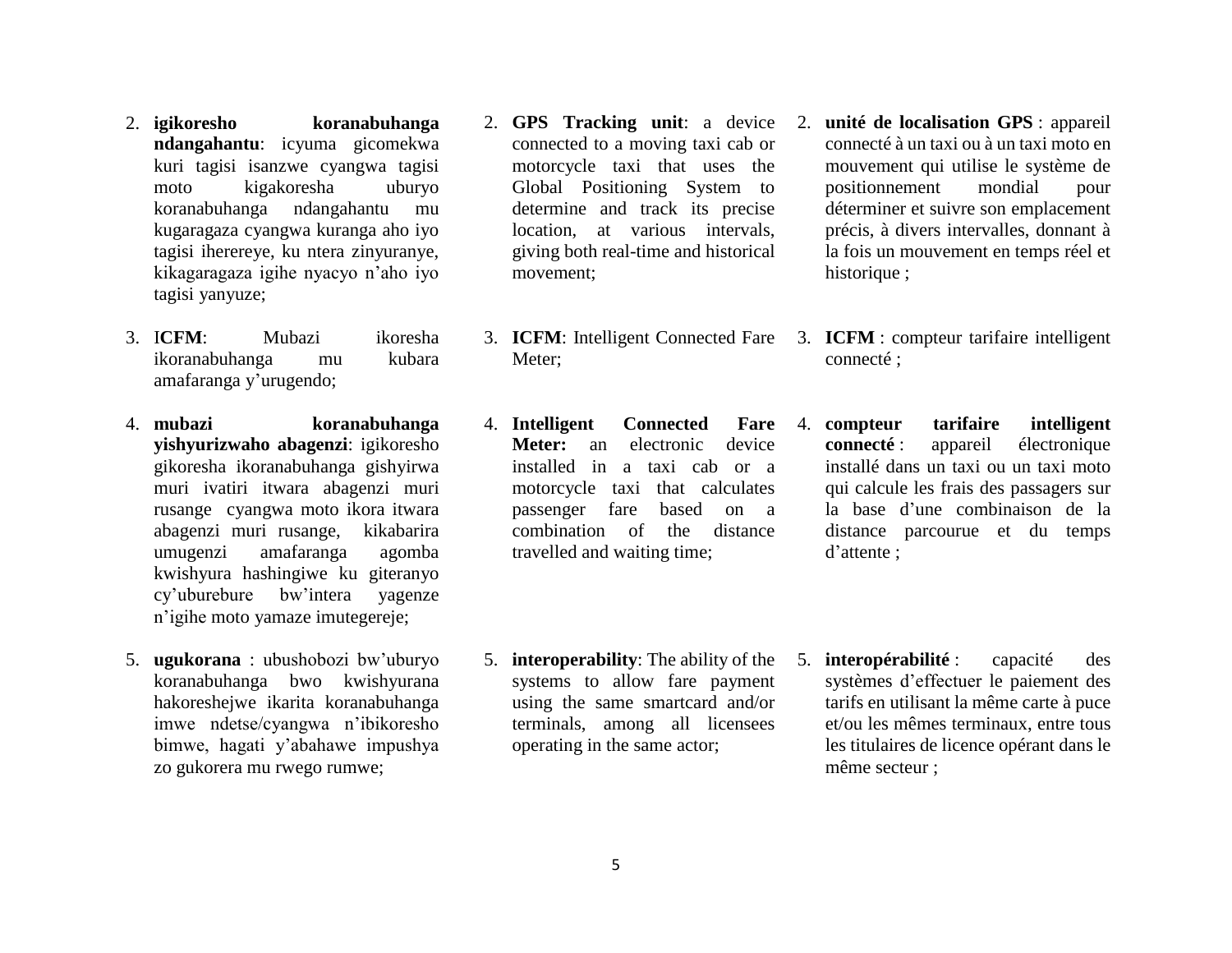- 2. **igikoresho koranabuhanga ndangahantu**: icyuma gicomekwa kuri tagisi isanzwe cyangwa tagisi moto kigakoresha uburyo koranabuhanga ndangahantu mu kugaragaza cyangwa kuranga aho iyo tagisi iherereye, ku ntera zinyuranye, kikagaragaza igihe nyacyo n'aho iyo tagisi yanyuze;
- 3. I**CFM**: Mubazi ikoresha ikoranabuhanga mu kubara amafaranga y'urugendo;
- 4. **mubazi koranabuhanga yishyurizwaho abagenzi**: igikoresho gikoresha ikoranabuhanga gishyirwa muri ivatiri itwara abagenzi muri rusange cyangwa moto ikora itwara abagenzi muri rusange, kikabarira umugenzi amafaranga agomba kwishyura hashingiwe ku giteranyo cy'uburebure bw'intera yagenze n'igihe moto yamaze imutegereje;
- 5. **ugukorana** : ubushobozi bw'uburyo koranabuhanga bwo kwishyurana hakoreshejwe ikarita koranabuhanga imwe ndetse/cyangwa n'ibikoresho bimwe, hagati y'abahawe impushya zo gukorera mu rwego rumwe;
- connected to a moving taxi cab or motorcycle taxi that uses the Global Positioning System to determine and track its precise location, at various intervals, giving both real-time and historical movement;
- 3. **ICFM**: Intelligent Connected Fare Meter:
- 4. **Intelligent Connected Fare Meter:** an electronic device installed in a taxi cab or a motorcycle taxi that calculates passenger fare based on a combination of the distance travelled and waiting time;
- 2. **GPS Tracking unit**: a device 2. **unité de localisation GPS** : appareil connecté à un taxi ou à un taxi moto en mouvement qui utilise le système de positionnement mondial pour déterminer et suivre son emplacement précis, à divers intervalles, donnant à la fois un mouvement en temps réel et historique ;
	- 3. **ICFM** : compteur tarifaire intelligent connecté ;
	- 4. **compteur tarifaire intelligent connecté** : appareil électronique installé dans un taxi ou un taxi moto qui calcule les frais des passagers sur la base d'une combinaison de la distance parcourue et du temps d'attente ;
- 5. **interoperability**: The ability of the systems to allow fare payment using the same smartcard and/or terminals, among all licensees operating in the same actor;
- 5. **interopérabilité** : capacité des systèmes d'effectuer le paiement des tarifs en utilisant la même carte à puce et/ou les mêmes terminaux, entre tous les titulaires de licence opérant dans le même secteur ;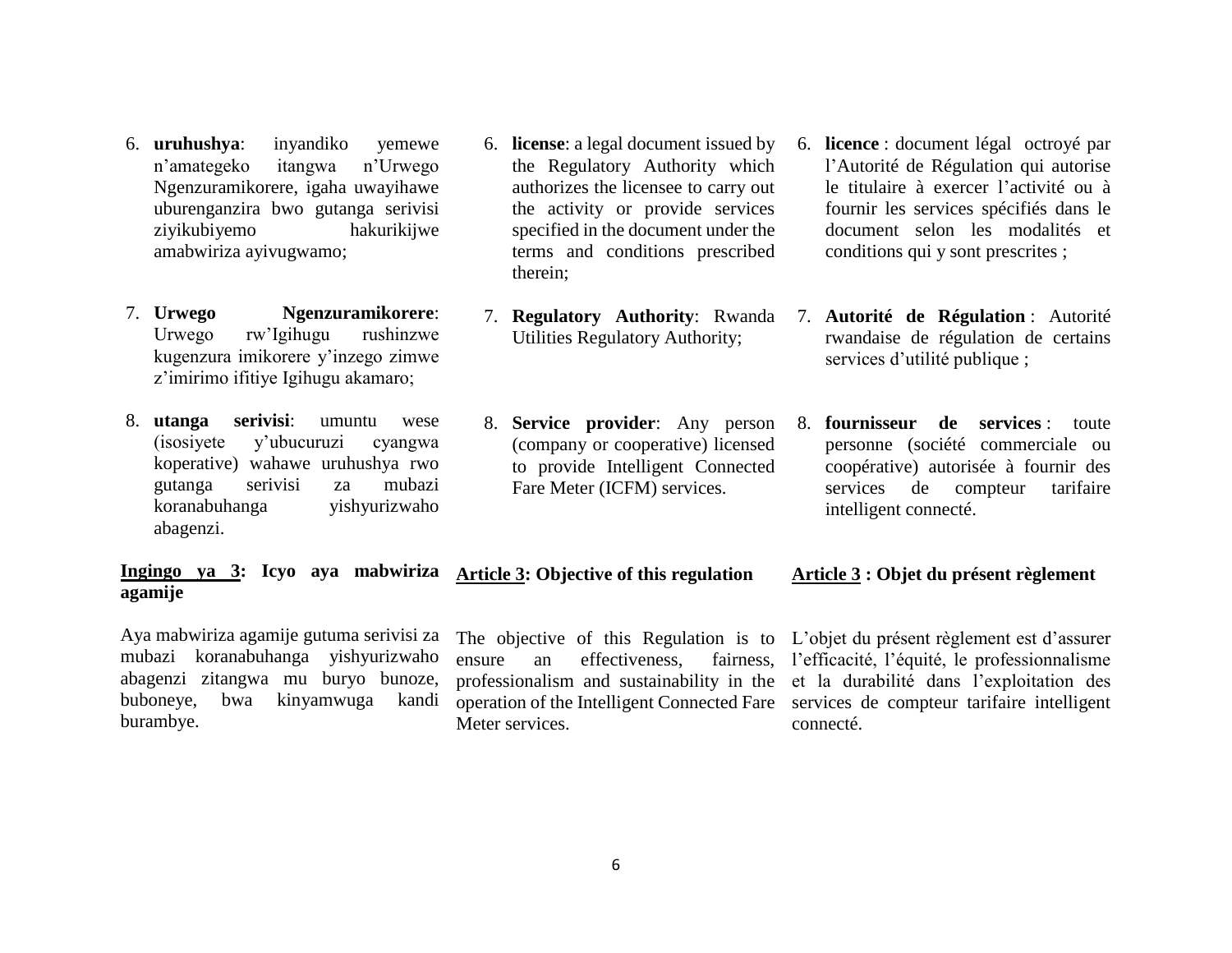- 6. **uruhushya**: inyandiko yemewe n'amategeko itangwa n'Urwego Ngenzuramikorere, igaha uwayihawe uburenganzira bwo gutanga serivisi ziyikubiyemo hakurikijwe amabwiriza ayivugwamo;
- 7. **Urwego Ngenzuramikorere**: Urwego rw'Igihugu rushinzwe kugenzura imikorere y'inzego zimwe z'imirimo ifitiye Igihugu akamaro;
- 8. **utanga serivisi**: umuntu wese (isosiyete y'ubucuruzi cyangwa koperative) wahawe uruhushya rwo gutanga serivisi za mubazi koranabuhanga yishyurizwaho abagenzi.
- 6. **license**: a legal document issued by the Regulatory Authority which authorizes the licensee to carry out the activity or provide services specified in the document under the terms and conditions prescribed therein;
- 7. **Regulatory Authority**: Rwanda Utilities Regulatory Authority;
- 8. **Service provider**: Any person (company or cooperative) licensed to provide Intelligent Connected Fare Meter (ICFM) services.
- 6. **licence** : document légal octroyé par l'Autorité de Régulation qui autorise le titulaire à exercer l'activité ou à fournir les services spécifiés dans le document selon les modalités et conditions qui y sont prescrites ;
- 7. **Autorité de Régulation** : Autorité rwandaise de régulation de certains services d'utilité publique ;
- 8. **fournisseur de services** : toute personne (société commerciale ou coopérative) autorisée à fournir des services de compteur tarifaire intelligent connecté.

#### **Ingingo ya 3: Icyo aya mabwiriza Article 3: Objective of this regulation agamije Article 3 : Objet du présent règlement**

Aya mabwiriza agamije gutuma serivisi za mubazi koranabuhanga yishyurizwaho abagenzi zitangwa mu buryo bunoze, buboneye, bwa kinyamwuga kandi burambye.

ensure an effectiveness, Meter services.

The objective of this Regulation is to L'objet du présent règlement est d'assurer professionalism and sustainability in the et la durabilité dans l'exploitation des operation of the Intelligent Connected Fare services de compteur tarifaire intelligent l'efficacité, l'équité, le professionnalisme connecté.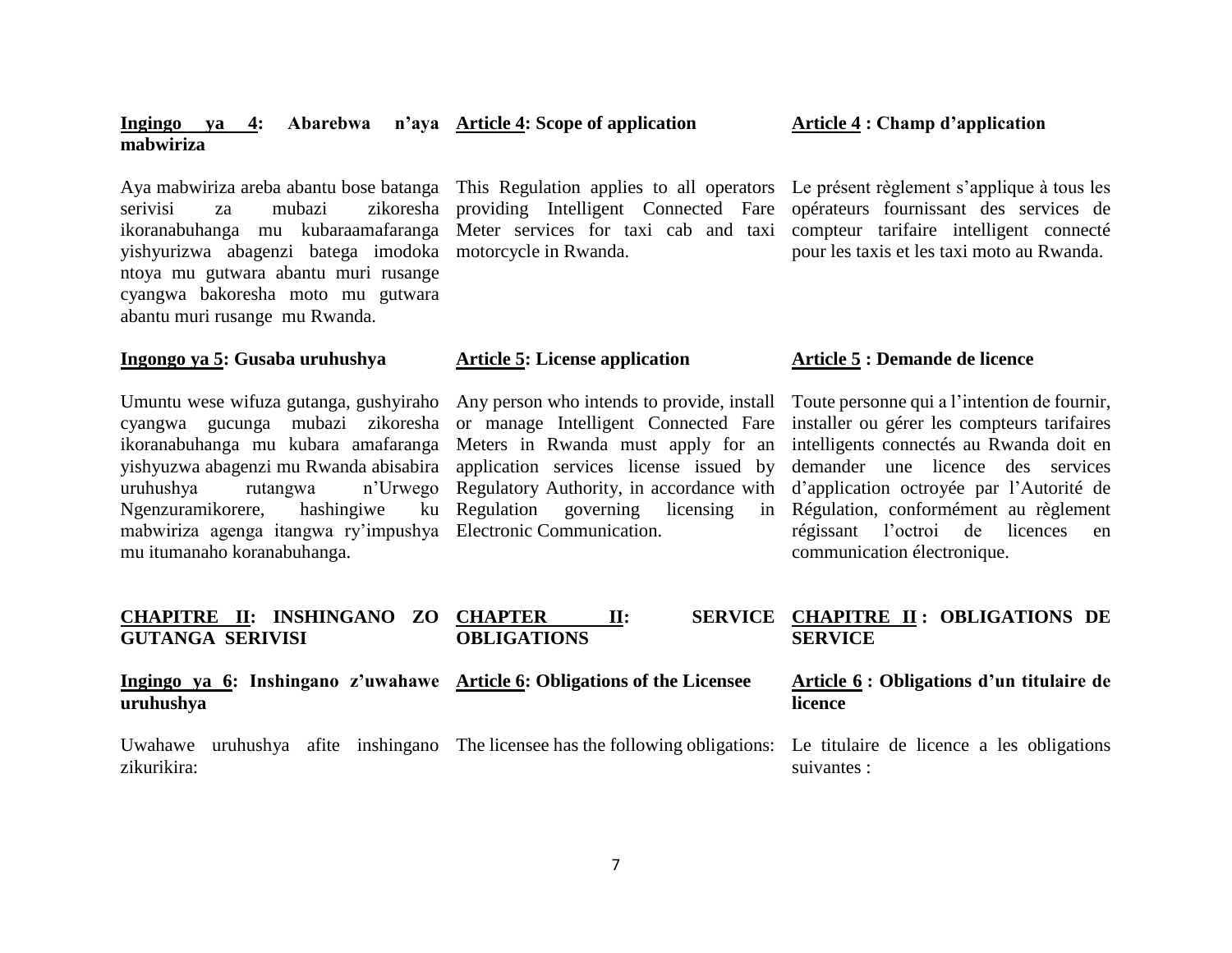### **Ingingo ya 4: Abarebwa n'aya Article 4: Scope of application mabwiriza**

serivisi za mubazi zikoresha providing Intelligent Connected Fare ikoranabuhanga mu kubaraamafaranga Meter services for taxi cab and taxi compteur tarifaire intelligent connecté yishyurizwa abagenzi batega imodoka motorcycle in Rwanda. ntoya mu gutwara abantu muri rusange cyangwa bakoresha moto mu gutwara abantu muri rusange mu Rwanda.

### **Ingongo ya 5: Gusaba uruhushya**

Umuntu wese wifuza gutanga, gushyiraho Any person who intends to provide, install cyangwa gucunga mubazi zikoresha or manage Intelligent Connected Fare ikoranabuhanga mu kubara amafaranga Meters in Rwanda must apply for an yishyuzwa abagenzi mu Rwanda abisabira application services license issued by uruhushya rutangwa n'Urwego Regulatory Authority, in accordance with Ngenzuramikorere, hashingiwe ku mabwiriza agenga itangwa ry'impushya Electronic Communication. mu itumanaho koranabuhanga.

**CHAPITRE II: INSHINGANO ZO** 

Aya mabwiriza areba abantu bose batanga This Regulation applies to all operators Le présent règlement s'applique à tous les

### **Article 5: License application**

ku Regulation governing licensing

### **Article 4 : Champ d'application**

opérateurs fournissant des services de pour les taxis et les taxi moto au Rwanda.

### **Article 5 : Demande de licence**

Toute personne qui a l'intention de fournir, installer ou gérer les compteurs tarifaires intelligents connectés au Rwanda doit en demander une licence des services d'application octroyée par l'Autorité de Régulation, conformément au règlement régissant l'octroi de licences en communication électronique.

| CHAPITRE II: INSHINGANO ZO CHAPTER<br><b>GUTANGA SERIVISI</b>                          | $\mathbf{H}$ :<br><b>OBLIGATIONS</b>                                                                             | SERVICE CHAPITRE II: OBLIGATIONS DE<br><b>SERVICE</b> |
|----------------------------------------------------------------------------------------|------------------------------------------------------------------------------------------------------------------|-------------------------------------------------------|
| Ingingo ya 6: Inshingano z'uwahawe Article 6: Obligations of the Licensee<br>uruhushya |                                                                                                                  | Article 6 : Obligations d'un titulaire de<br>licence  |
| Uwahawe<br>zikurikira:                                                                 | uruhushya afite inshingano The licensee has the following obligations: Le titulaire de licence a les obligations | suivantes :                                           |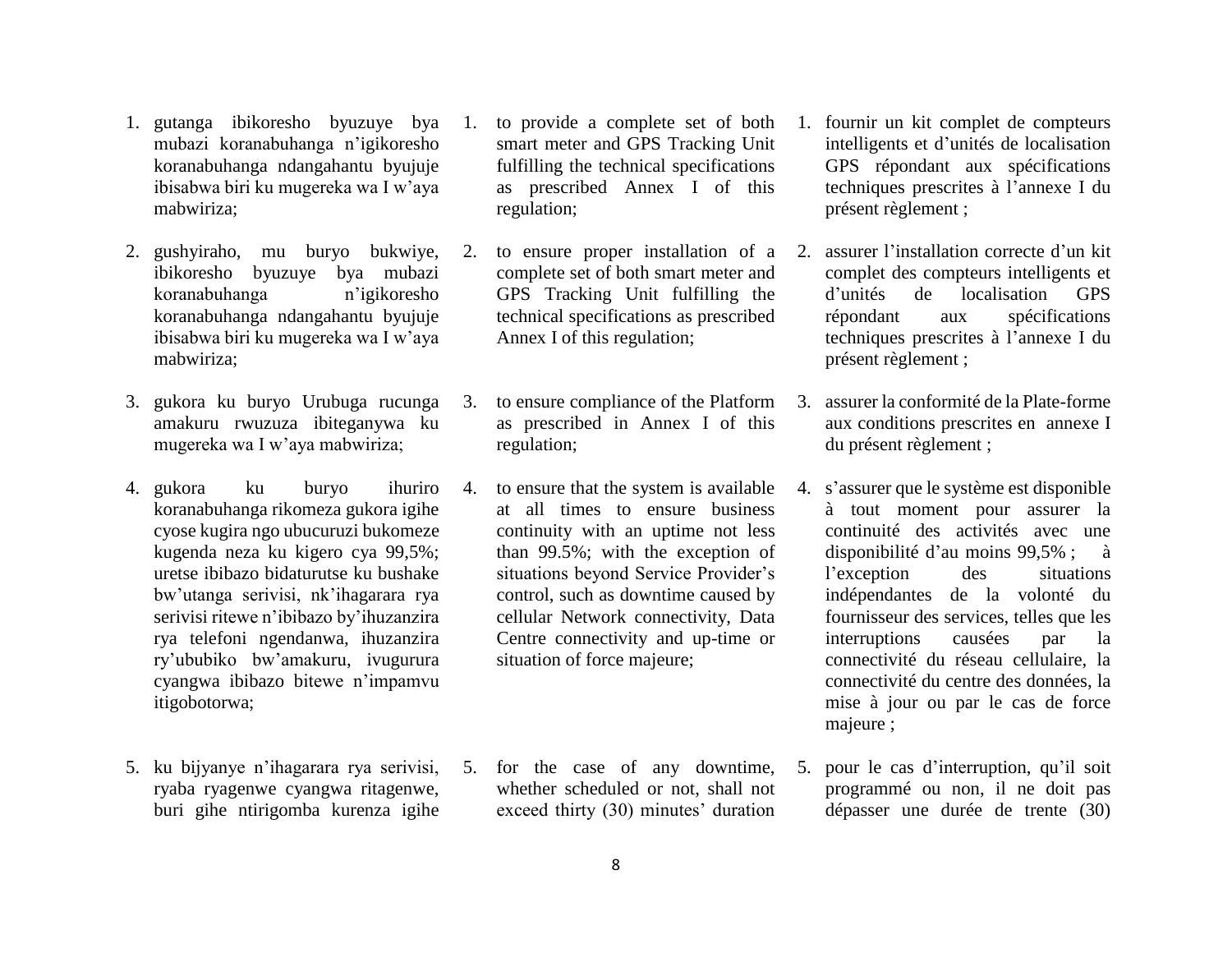- 1. gutanga ibikoresho byuzuye bya mubazi koranabuhanga n'igikoresho koranabuhanga ndangahantu byujuje ibisabwa biri ku mugereka wa I w'aya mabwiriza;
- 2. gushyiraho, mu buryo bukwiye, ibikoresho byuzuye bya mubazi koranabuhanga n'igikoresho koranabuhanga ndangahantu byujuje ibisabwa biri ku mugereka wa I w'aya mabwiriza;
- 3. gukora ku buryo Urubuga rucunga amakuru rwuzuza ibiteganywa ku mugereka wa I w'aya mabwiriza;
- 4. gukora ku buryo ihuriro koranabuhanga rikomeza gukora igihe cyose kugira ngo ubucuruzi bukomeze kugenda neza ku kigero cya 99,5%; uretse ibibazo bidaturutse ku bushake bw'utanga serivisi, nk'ihagarara rya serivisi ritewe n'ibibazo by'ihuzanzira rya telefoni ngendanwa, ihuzanzira ry'ububiko bw'amakuru, ivugurura cyangwa ibibazo bitewe n'impamvu itigobotorwa;
- 5. ku bijyanye n'ihagarara rya serivisi, ryaba ryagenwe cyangwa ritagenwe, buri gihe ntirigomba kurenza igihe
- smart meter and GPS Tracking Unit fulfilling the technical specifications as prescribed Annex I of this regulation;
- complete set of both smart meter and GPS Tracking Unit fulfilling the technical specifications as prescribed Annex I of this regulation;
- 3. to ensure compliance of the Platform as prescribed in Annex I of this regulation;
- 4. to ensure that the system is available at all times to ensure business continuity with an uptime not less than 99.5%; with the exception of situations beyond Service Provider's control, such as downtime caused by cellular Network connectivity, Data Centre connectivity and up-time or situation of force majeure;
- 5. for the case of any downtime, whether scheduled or not, shall not exceed thirty (30) minutes' duration
- 1. to provide a complete set of both 1. fournir un kit complet de compteurs intelligents et d'unités de localisation GPS répondant aux spécifications techniques prescrites à l'annexe I du présent règlement ;
- 2. to ensure proper installation of a 2. assurer l'installation correcte d'un kit complet des compteurs intelligents et d'unités de localisation GPS répondant aux spécifications techniques prescrites à l'annexe I du présent règlement ;
	- 3. assurer la conformité de la Plate-forme aux conditions prescrites en annexe I du présent règlement ;
	- 4. s'assurer que le système est disponible à tout moment pour assurer la continuité des activités avec une disponibilité d'au moins 99,5% ; à l'exception des situations indépendantes de la volonté du fournisseur des services, telles que les interruptions causées par la connectivité du réseau cellulaire, la connectivité du centre des données, la mise à jour ou par le cas de force majeure ;
	- 5. pour le cas d'interruption, qu'il soit programmé ou non, il ne doit pas dépasser une durée de trente (30)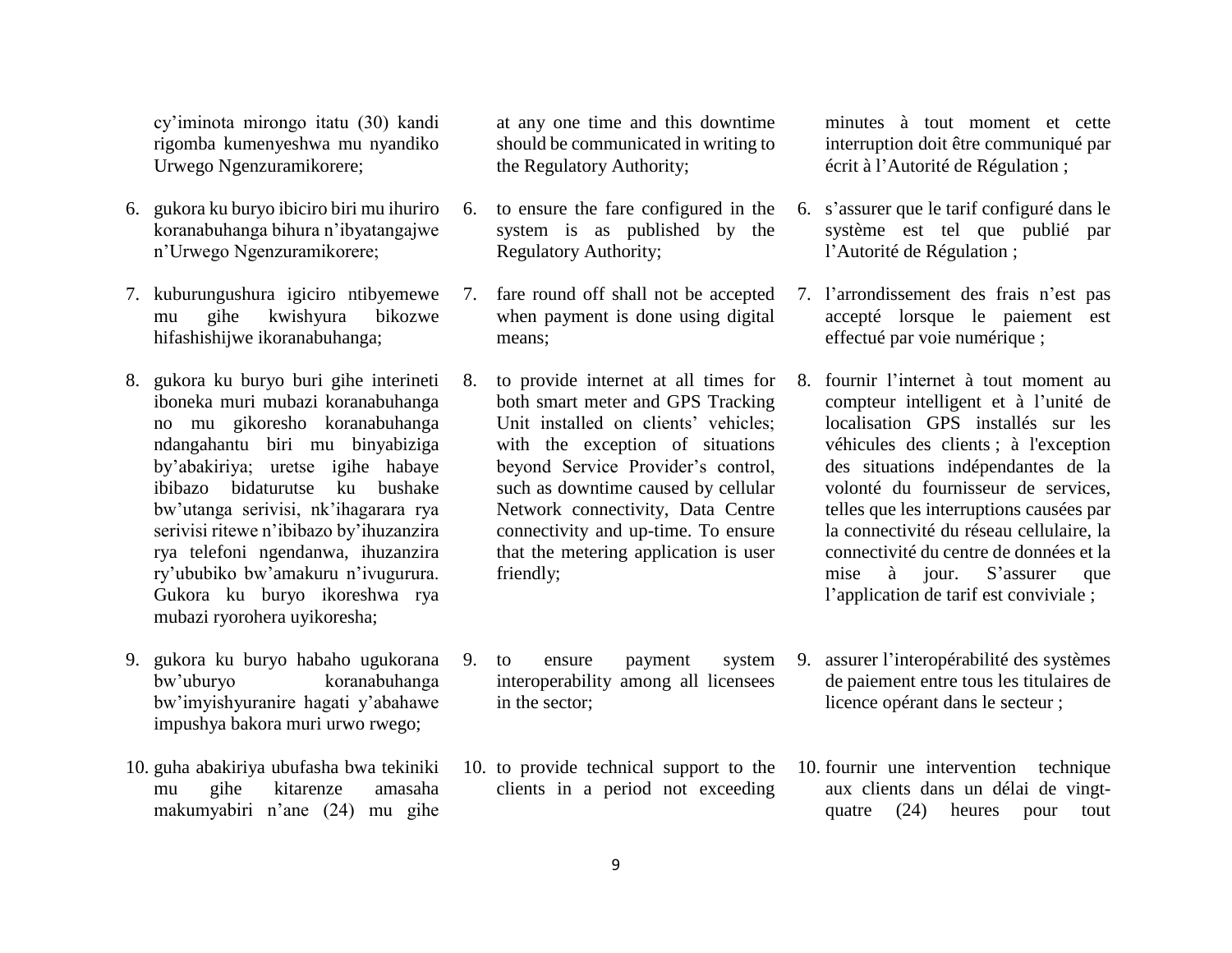cy'iminota mirongo itatu (30) kandi rigomba kumenyeshwa mu nyandiko Urwego Ngenzuramikorere;

- 6. gukora ku buryo ibiciro biri mu ihuriro koranabuhanga bihura n'ibyatangajwe n'Urwego Ngenzuramikorere;
- 7. kuburungushura igiciro ntibyemewe mu gihe kwishyura bikozwe hifashishijwe ikoranabuhanga;
- 8. gukora ku buryo buri gihe interineti iboneka muri mubazi koranabuhanga no mu gikoresho koranabuhanga ndangahantu biri mu binyabiziga by'abakiriya; uretse igihe habaye ibibazo bidaturutse ku bushake bw'utanga serivisi, nk'ihagarara rya serivisi ritewe n'ibibazo by'ihuzanzira rya telefoni ngendanwa, ihuzanzira ry'ububiko bw'amakuru n'ivugurura. Gukora ku buryo ikoreshwa rya mubazi ryorohera uyikoresha;
- 9. gukora ku buryo habaho ugukorana bw'uburyo koranabuhanga bw'imyishyuranire hagati y'abahawe impushya bakora muri urwo rwego;
- 10. guha abakiriya ubufasha bwa tekiniki mu gihe kitarenze amasaha makumyabiri n'ane (24) mu gihe

at any one time and this downtime should be communicated in writing to the Regulatory Authority;

- 6. to ensure the fare configured in the system is as published by the Regulatory Authority;
	- when payment is done using digital means;
	- both smart meter and GPS Tracking Unit installed on clients' vehicles; with the exception of situations beyond Service Provider's control, such as downtime caused by cellular Network connectivity, Data Centre connectivity and up-time. To ensure that the metering application is user friendly;
- 9. to ensure payment system interoperability among all licensees in the sector;
- 10. to provide technical support to the clients in a period not exceeding

minutes à tout moment et cette interruption doit être communiqué par écrit à l'Autorité de Régulation ;

- 6. s'assurer que le tarif configuré dans le système est tel que publié par l'Autorité de Régulation ;
- 7. fare round off shall not be accepted 7. l'arrondissement des frais n'est pas accepté lorsque le paiement est effectué par voie numérique ;
- 8. to provide internet at all times for 8. fournir l'internet à tout moment au compteur intelligent et à l'unité de localisation GPS installés sur les véhicules des clients ; à l'exception des situations indépendantes de la volonté du fournisseur de services, telles que les interruptions causées par la connectivité du réseau cellulaire, la connectivité du centre de données et la mise à jour. S'assurer que l'application de tarif est conviviale ;
	- 9. assurer l'interopérabilité des systèmes de paiement entre tous les titulaires de licence opérant dans le secteur ;
	- 10. fournir une intervention technique aux clients dans un délai de vingtquatre (24) heures pour tout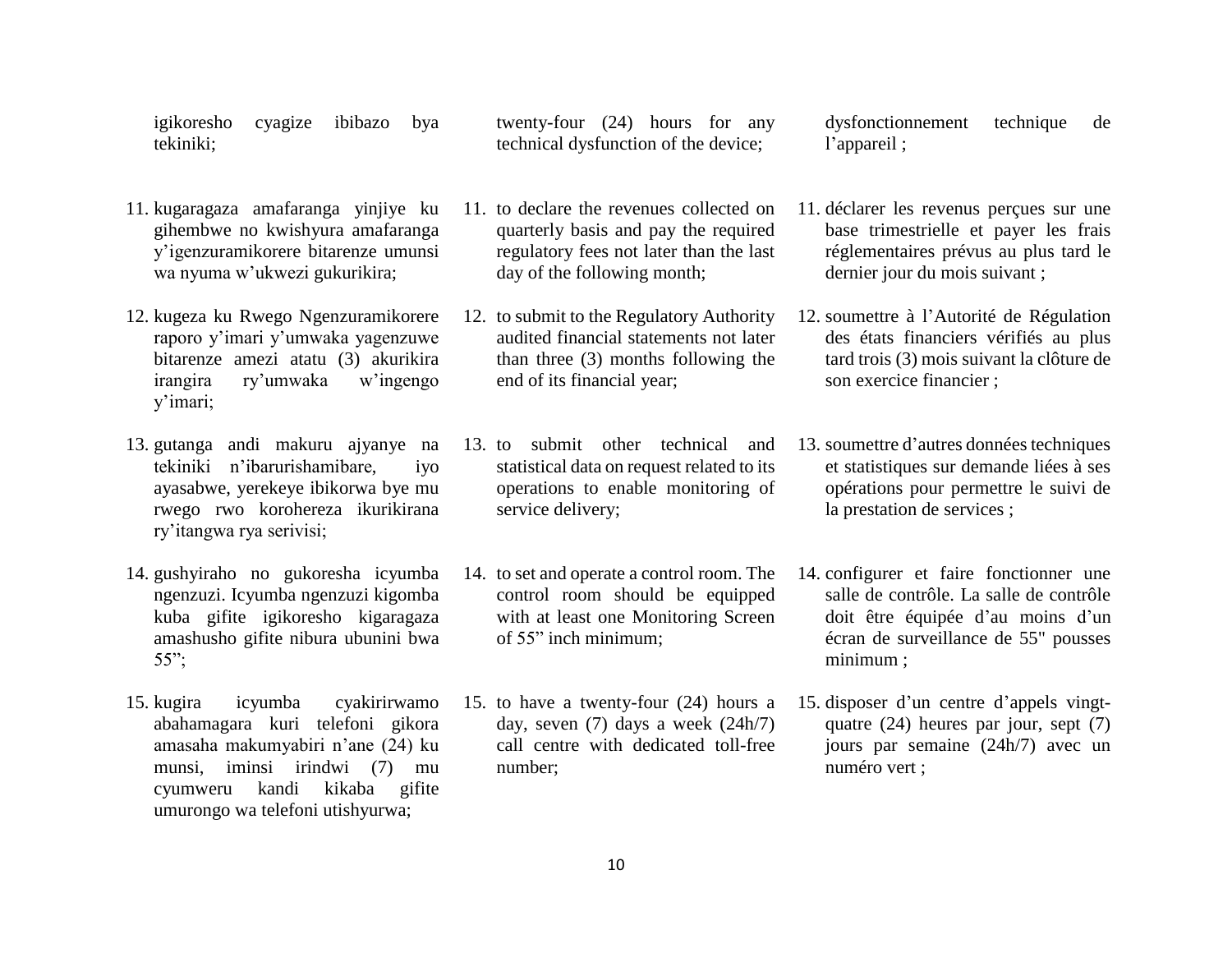igikoresho cyagize ibibazo bya tekiniki;

- 11. kugaragaza amafaranga yinjiye ku gihembwe no kwishyura amafaranga y'igenzuramikorere bitarenze umunsi wa nyuma w'ukwezi gukurikira;
- 12. kugeza ku Rwego Ngenzuramikorere raporo y'imari y'umwaka yagenzuwe bitarenze amezi atatu (3) akurikira irangira ry'umwaka w'ingengo y'imari;
- 13. gutanga andi makuru ajyanye na tekiniki n'ibarurishamibare, iyo ayasabwe, yerekeye ibikorwa bye mu rwego rwo korohereza ikurikirana ry'itangwa rya serivisi;
- 14. gushyiraho no gukoresha icyumba ngenzuzi. Icyumba ngenzuzi kigomba kuba gifite igikoresho kigaragaza amashusho gifite nibura ubunini bwa 55";
- 15. kugira icyumba cyakirirwamo abahamagara kuri telefoni gikora amasaha makumyabiri n'ane (24) ku munsi, iminsi irindwi (7) mu cyumweru kandi kikaba gifite umurongo wa telefoni utishyurwa;

twenty-four (24) hours for any technical dysfunction of the device;

- 11. to declare the revenues collected on quarterly basis and pay the required regulatory fees not later than the last day of the following month;
- 12. to submit to the Regulatory Authority audited financial statements not later than three (3) months following the end of its financial year;
- 13. to submit other technical and statistical data on request related to its operations to enable monitoring of service delivery;
- 14. to set and operate a control room. The control room should be equipped with at least one Monitoring Screen of 55" inch minimum;
- 15. to have a twenty-four (24) hours a day, seven (7) days a week (24h/7) call centre with dedicated toll-free number;

dysfonctionnement technique de l'appareil ;

- 11. déclarer les revenus perçues sur une base trimestrielle et payer les frais réglementaires prévus au plus tard le dernier jour du mois suivant ;
- 12. soumettre à l'Autorité de Régulation des états financiers vérifiés au plus tard trois (3) mois suivant la clôture de son exercice financier ;
- 13. soumettre d'autres données techniques et statistiques sur demande liées à ses opérations pour permettre le suivi de la prestation de services ;
- 14. configurer et faire fonctionner une salle de contrôle. La salle de contrôle doit être équipée d'au moins d'un écran de surveillance de 55" pousses minimum ;
- 15. disposer d'un centre d'appels vingtquatre (24) heures par jour, sept (7) jours par semaine (24h/7) avec un numéro vert ;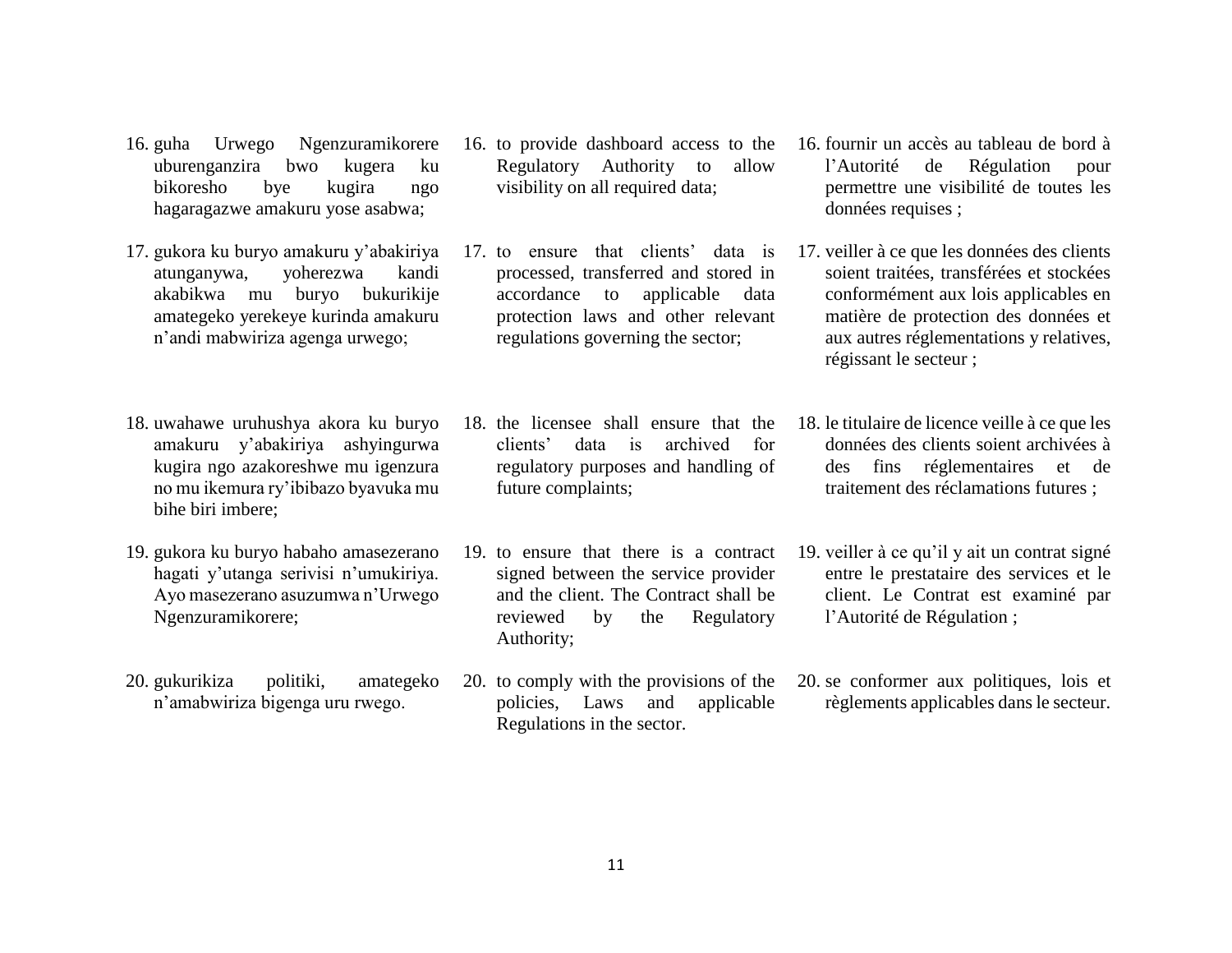- 16. guha Urwego Ngenzuramikorere uburenganzira bwo kugera ku bikoresho bye kugira ngo hagaragazwe amakuru yose asabwa;
- 17. gukora ku buryo amakuru y'abakiriya atunganywa, yoherezwa kandi akabikwa mu buryo bukurikije amategeko yerekeye kurinda amakuru n'andi mabwiriza agenga urwego;
- 18. uwahawe uruhushya akora ku buryo amakuru y'abakiriya ashyingurwa kugira ngo azakoreshwe mu igenzura no mu ikemura ry'ibibazo byavuka mu bihe biri imbere;
- 19. gukora ku buryo habaho amasezerano hagati y'utanga serivisi n'umukiriya. Ayo masezerano asuzumwa n'Urwego Ngenzuramikorere;
- 20. gukurikiza politiki, amategeko n'amabwiriza bigenga uru rwego.
- 16. to provide dashboard access to the Regulatory Authority to allow visibility on all required data;
- 17. to ensure that clients' data is processed, transferred and stored in accordance to applicable data protection laws and other relevant regulations governing the sector;
- 18. the licensee shall ensure that the clients' data is archived for regulatory purposes and handling of future complaints;
- 19. to ensure that there is a contract signed between the service provider and the client. The Contract shall be reviewed by the Regulatory Authority;
- 20. to comply with the provisions of the policies, Laws and applicable Regulations in the sector.
- 16. fournir un accès au tableau de bord à l'Autorité de Régulation pour permettre une visibilité de toutes les données requises ;
- 17. veiller à ce que les données des clients soient traitées, transférées et stockées conformément aux lois applicables en matière de protection des données et aux autres réglementations y relatives, régissant le secteur ;
- 18. le titulaire de licence veille à ce que les données des clients soient archivées à des fins réglementaires et de traitement des réclamations futures ;
- 19. veiller à ce qu'il y ait un contrat signé entre le prestataire des services et le client. Le Contrat est examiné par l'Autorité de Régulation ;
- 20. se conformer aux politiques, lois et règlements applicables dans le secteur.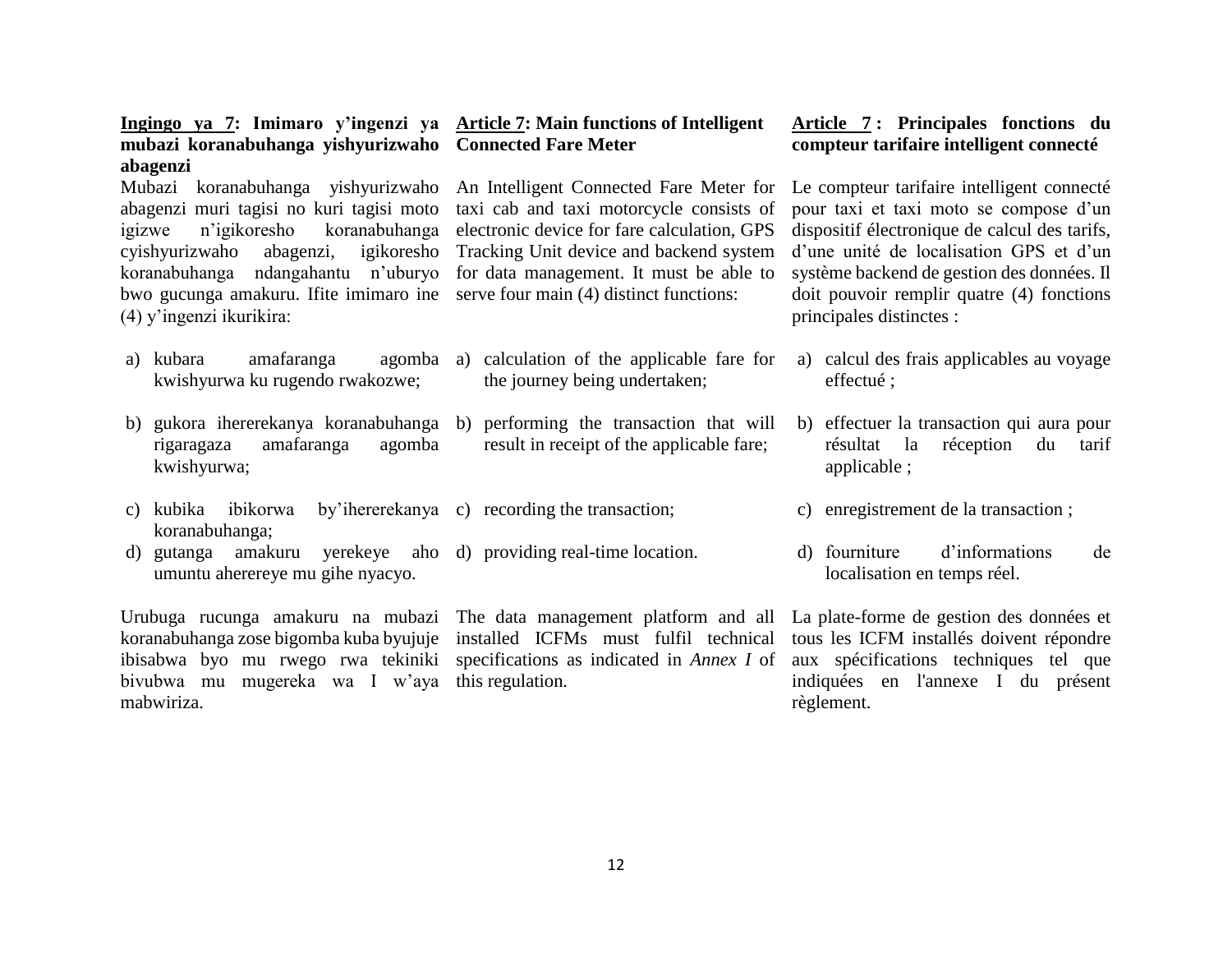| Ingingo ya 7: Imimaro y'ingenzi ya Article 7: Main functions of Intelligent<br>mubazi koranabuhanga yishyurizwaho Connected Fare Meter                                             |                                                                                                                                                                                                                                                                                                                                                                                                             | Article 7: Principales fonctions du<br>compteur tarifaire intelligent connecté                                                                                                                                                                            |
|------------------------------------------------------------------------------------------------------------------------------------------------------------------------------------|-------------------------------------------------------------------------------------------------------------------------------------------------------------------------------------------------------------------------------------------------------------------------------------------------------------------------------------------------------------------------------------------------------------|-----------------------------------------------------------------------------------------------------------------------------------------------------------------------------------------------------------------------------------------------------------|
| abagenzi<br>n'igikoresho<br>igizwe<br>cyishyurizwaho<br>abagenzi,<br>bwo gucunga amakuru. If ite imimaro ine serve four main (4) distinct functions:<br>$(4)$ y'ingenzi ikurikira: | Mubazi koranabuhanga yishyurizwaho An Intelligent Connected Fare Meter for Le compteur tarifaire intelligent connecté<br>abagenzi muri tagisi no kuri tagisi moto taxi cab and taxi motorcycle consists of<br>koranabuhanga electronic device for fare calculation, GPS<br>igikoresho Tracking Unit device and backend system<br>koranabuhanga ndangahantu n'uburyo for data management. It must be able to | pour taxi et taxi moto se compose d'un<br>dispositif électronique de calcul des tarifs,<br>d'une unité de localisation GPS et d'un<br>système backend de gestion des données. Il<br>doit pouvoir remplir quatre (4) fonctions<br>principales distinctes : |
| a) kubara<br>amafaranga<br>kwishyurwa ku rugendo rwakozwe;                                                                                                                         | agomba a) calculation of the applicable fare for<br>the journey being undertaken;                                                                                                                                                                                                                                                                                                                           | a) calcul des frais applicables au voyage<br>effectué;                                                                                                                                                                                                    |
| amafaranga<br>agomba<br>rigaragaza<br>kwishyurwa;                                                                                                                                  | b) gukora ihererekanya koranabuhanga b) performing the transaction that will<br>result in receipt of the applicable fare;                                                                                                                                                                                                                                                                                   | b) effectuer la transaction qui aura pour<br>résultat la<br>réception<br>du<br>tarif<br>applicable;                                                                                                                                                       |
| c) kubika ibikorwa<br>koranabuhanga;                                                                                                                                               | by ihererekanya c) recording the transaction;                                                                                                                                                                                                                                                                                                                                                               | c) enregistrement de la transaction;                                                                                                                                                                                                                      |
| d) gutanga amakuru yerekeye aho d) providing real-time location.<br>umuntu aherereye mu gihe nyacyo.                                                                               |                                                                                                                                                                                                                                                                                                                                                                                                             | d'informations<br>d) fourniture<br>de<br>localisation en temps réel.                                                                                                                                                                                      |
|                                                                                                                                                                                    | Urubuga rucunga amakuru na mubazi The data management platform and all La plate-forme de gestion des données et<br>koranabuhanga zose bigomba kuba byujuje installed ICFMs must fulfil technical tous les ICFM installés doivent répondre<br>ibisabwa byo mu rwego rwa tekiniki specifications as indicated in Annex I of aux spécifications techniques tel que                                             |                                                                                                                                                                                                                                                           |

règlement.

indiquées en l'annexe I du présent

12

bivubwa mu mugereka wa I w'aya this regulation*.* 

mabwiriza.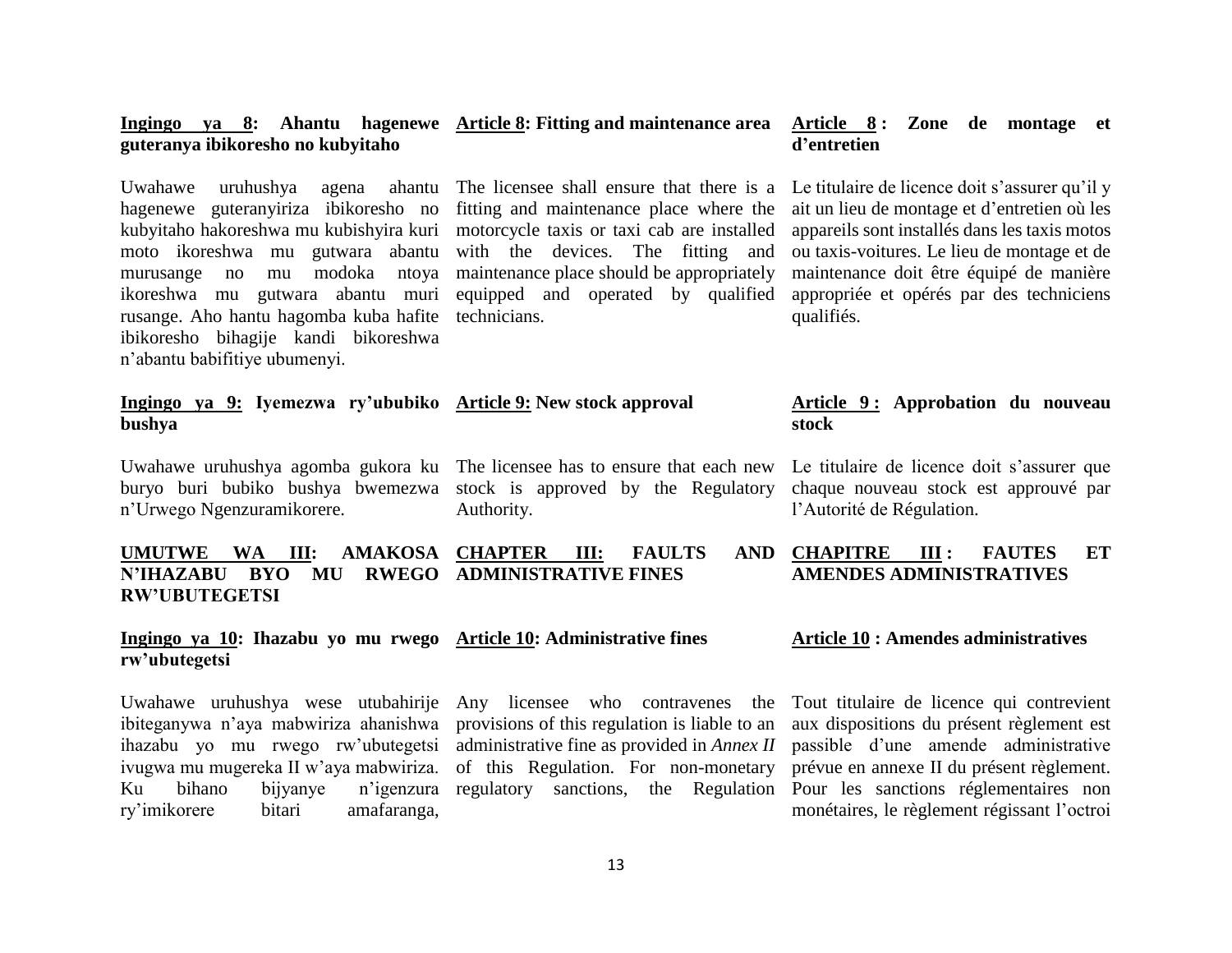#### **Ingingo ya 8: Ahantu hagenewe Article 8: Fitting and maintenance area guteranya ibikoresho no kubyitaho Article 8 : Zone de montage et d'entretien**

rusange. Aho hantu hagomba kuba hafite technicians. ibikoresho bihagije kandi bikoreshwa n'abantu babifitiye ubumenyi.

Uwahawe uruhushya agena ahantu The licensee shall ensure that there is a hagenewe guteranyiriza ibikoresho no fitting and maintenance place where the kubyitaho hakoreshwa mu kubishyira kuri motorcycle taxis or taxi cab are installed moto ikoreshwa mu gutwara abantu with the devices. The fitting and murusange no mu modoka ntoya maintenance place should be appropriately ikoreshwa mu gutwara abantu muri equipped and operated by qualified

Le titulaire de licence doit s'assurer qu'il y ait un lieu de montage et d'entretien où les appareils sont installés dans les taxis motos ou taxis-voitures. Le lieu de montage et de maintenance doit être équipé de manière appropriée et opérés par des techniciens qualifiés.

**Article 9 : Approbation du nouveau** 

Le titulaire de licence doit s'assurer que chaque nouveau stock est approuvé par

### **Ingingo ya 9: Iyemezwa ry'ububiko Article 9: New stock approval bushya**

n'Urwego Ngenzuramikorere.

Uwahawe uruhushya agomba gukora ku The licensee has to ensure that each new buryo buri bubiko bushya bwemezwa stock is approved by the Regulatory Authority.

# l'Autorité de Régulation.

**stock**

#### **UMUTWE WA III: AMAKOSA CHAPTER III: FAULTS AND N'IHAZABU BYO MU RWEGO ADMINISTRATIVE FINES RW'UBUTEGETSI CHAPITRE III : FAUTES ET AMENDES ADMINISTRATIVES**

#### **Ingingo ya 10: Ihazabu yo mu rwego Article 10: Administrative fines rw'ubutegetsi Article 10 : Amendes administratives**

Uwahawe uruhushya wese utubahirije ibiteganywa n'aya mabwiriza ahanishwa ihazabu yo mu rwego rw'ubutegetsi ivugwa mu mugereka II w'aya mabwiriza. Ku bihano bijyanye n'igenzura ry'imikorere bitari amafaranga,

Any licensee who contravenes the provisions of this regulation is liable to an administrative fine as provided in *Annex II* of this Regulation. For non-monetary regulatory sanctions, the Regulation

Tout titulaire de licence qui contrevient aux dispositions du présent règlement est passible d'une amende administrative prévue en annexe II du présent règlement. Pour les sanctions réglementaires non

monétaires, le règlement régissant l'octroi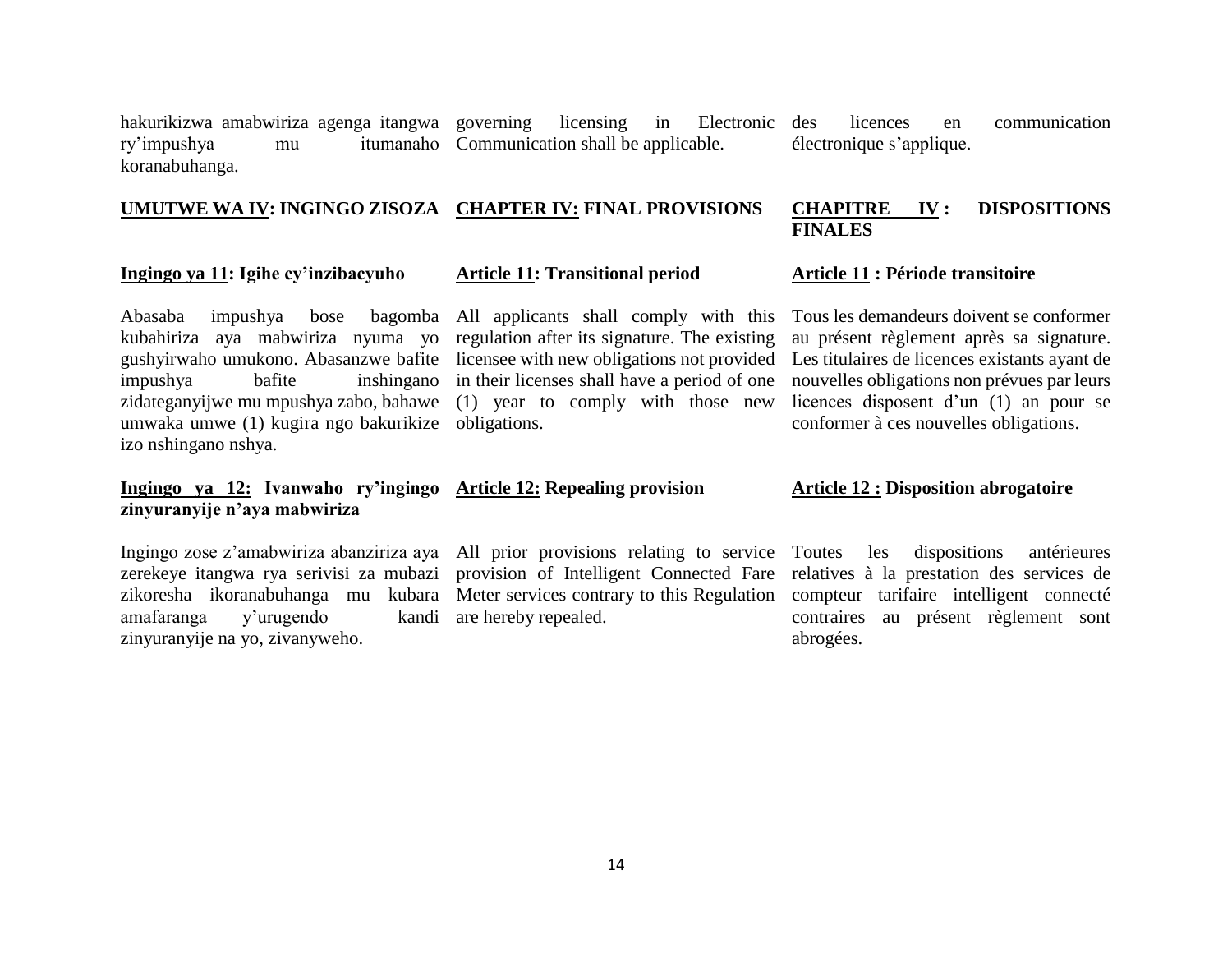hakurikizwa amabwiriza agenga itangwa ry'impushya mu koranabuhanga. licensing in Electronic des itumanaho Communication shall be applicable.

licences en communication électronique s'applique.

#### **UMUTWE WA IV: INGINGO ZISOZA CHAPTER IV: FINAL PROVISIONS CHAPITRE IV : DISPOSITIONS FINALES**

### **Ingingo ya 11: Igihe cy'inzibacyuho**

Abasaba impushya bose bagomba All applicants shall comply with this kubahiriza aya mabwiriza nyuma yo regulation after its signature. The existing gushyirwaho umukono. Abasanzwe bafite impushya bafite inshingano in their licenses shall have a period of one zidateganyijwe mu mpushya zabo, bahawe umwaka umwe (1) kugira ngo bakurikize obligations. izo nshingano nshya.

## **Ingingo ya 12: Ivanwaho ry'ingingo zinyuranyije n'aya mabwiriza**

Ingingo zose z'amabwiriza abanziriza aya All prior provisions relating to service amafaranga y'urugendo zinyuranyije na yo, zivanyweho.

### **Article 11: Transitional period**

licensee with new obligations not provided (1) year to comply with those new

# **Article 12: Repealing provision**

zerekeye itangwa rya serivisi za mubazi provision of Intelligent Connected Fare kandi are hereby repealed.

### **Article 11 : Période transitoire**

Tous les demandeurs doivent se conformer au présent règlement après sa signature. Les titulaires de licences existants ayant de nouvelles obligations non prévues par leurs licences disposent d'un (1) an pour se conformer à ces nouvelles obligations.

### **Article 12 : Disposition abrogatoire**

zikoresha ikoranabuhanga mu kubara Meter services contrary to this Regulation compteur tarifaire intelligent connecté les dispositions antérieures relatives à la prestation des services de contraires au présent règlement sont abrogées.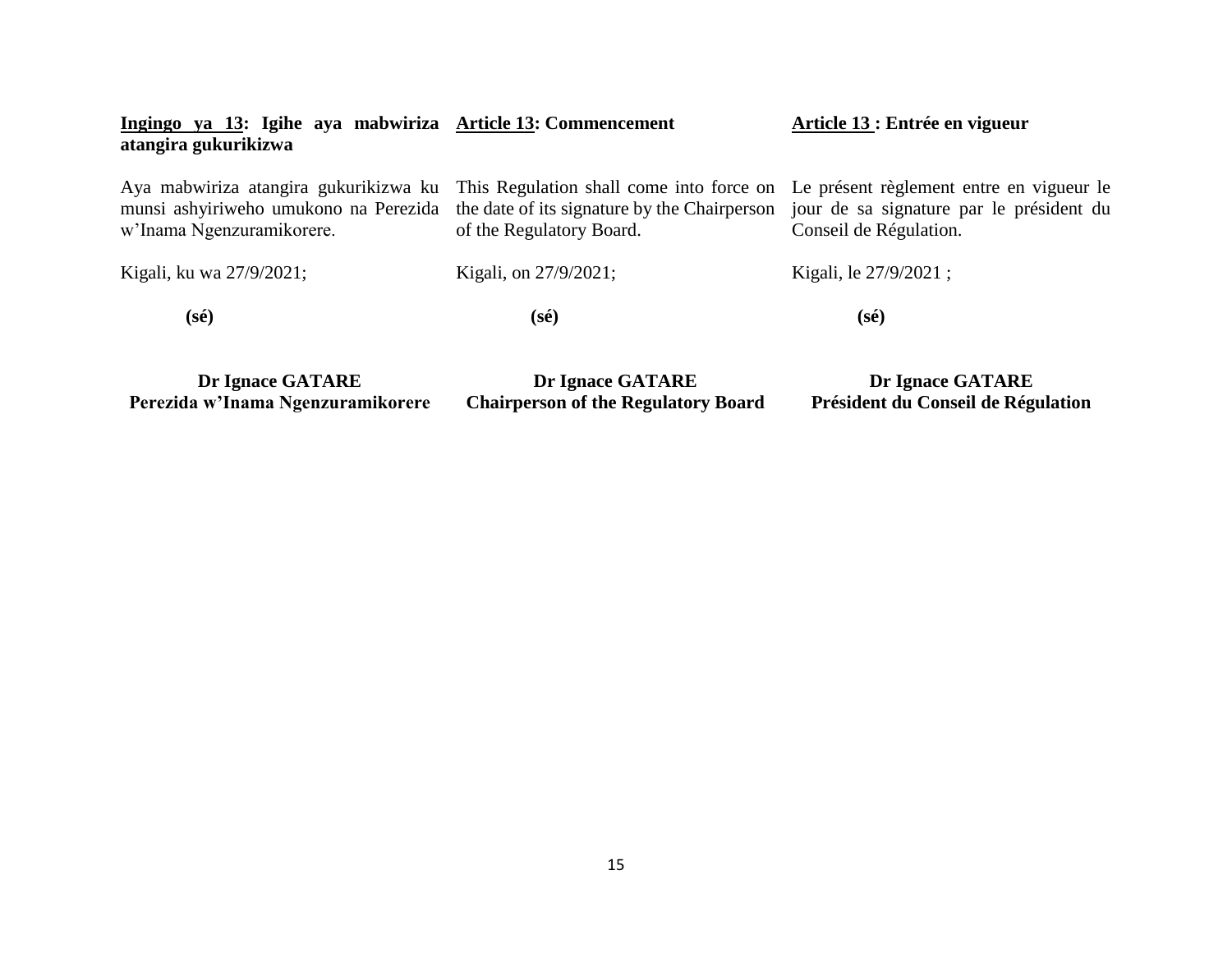| Ingingo ya 13: Igihe aya mabwiriza Article 13: Commencement<br>atangira gukurikizwa |                                                                                                                                                                                                     | Article 13 : Entrée en vigueur                                     |
|-------------------------------------------------------------------------------------|-----------------------------------------------------------------------------------------------------------------------------------------------------------------------------------------------------|--------------------------------------------------------------------|
| Aya mabwiriza atangira gukurikizwa ku<br>w'Inama Ngenzuramikorere.                  | This Regulation shall come into force on Le présent règlement entre en vigueur le<br>munsi ashyiriweho umukono na Perezida the date of its signature by the Chairperson<br>of the Regulatory Board. | jour de sa signature par le président du<br>Conseil de Régulation. |
| Kigali, ku wa 27/9/2021;                                                            | Kigali, on 27/9/2021;                                                                                                                                                                               | Kigali, le 27/9/2021;                                              |
| $(s\acute{e})$                                                                      | (sé)                                                                                                                                                                                                | $(s\acute{e})$                                                     |
| Dr Ignace GATARE                                                                    | Dr Ignace GATARE                                                                                                                                                                                    | Dr Ignace GATARE                                                   |

**Chairperson of the Regulatory Board**

**Président du Conseil de Régulation**

**Perezida w'Inama Ngenzuramikorere**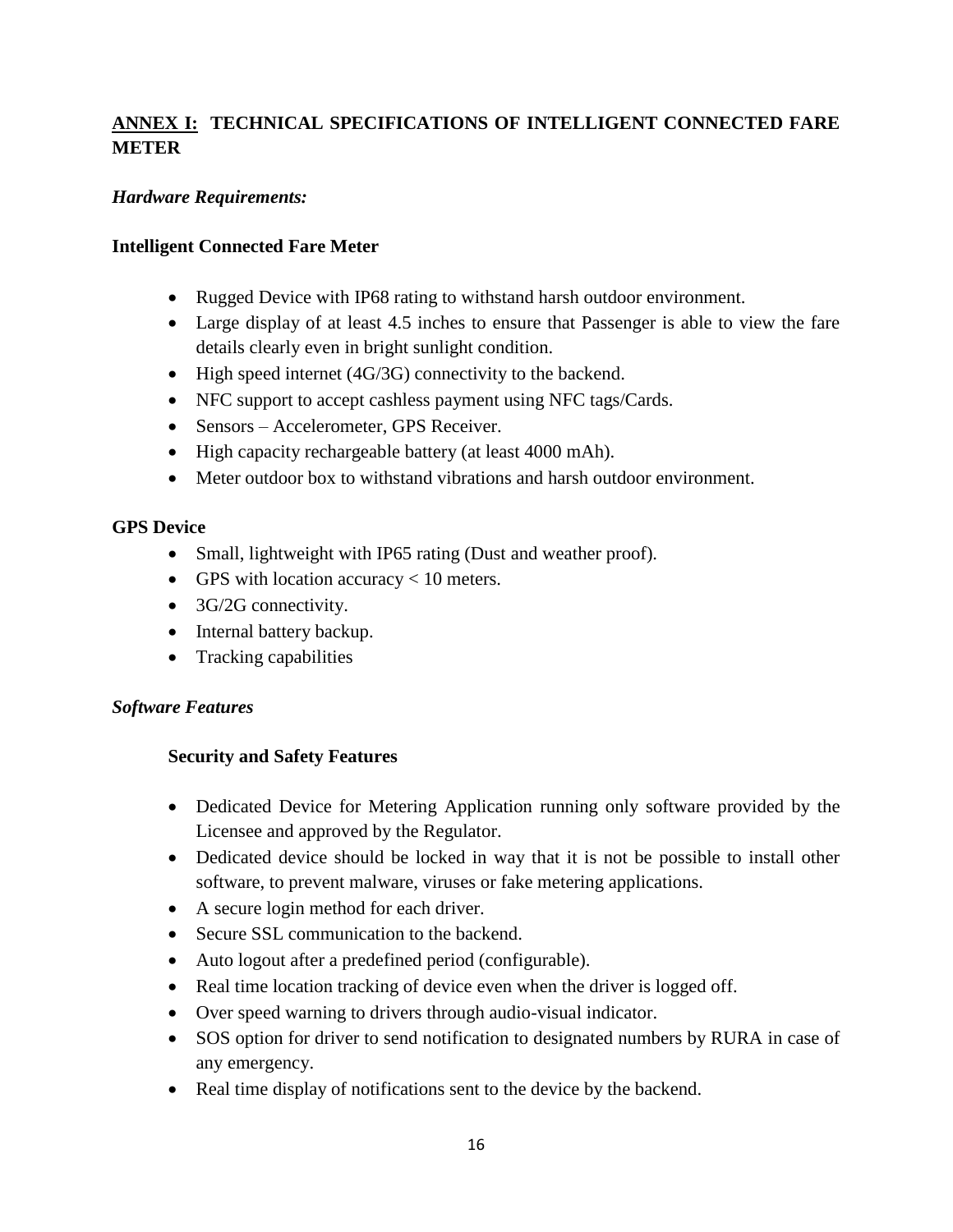# **ANNEX I: TECHNICAL SPECIFICATIONS OF INTELLIGENT CONNECTED FARE METER**

# *Hardware Requirements:*

# **Intelligent Connected Fare Meter**

- Rugged Device with IP68 rating to withstand harsh outdoor environment.
- Large display of at least 4.5 inches to ensure that Passenger is able to view the fare details clearly even in bright sunlight condition.
- High speed internet (4G/3G) connectivity to the backend.
- NFC support to accept cashless payment using NFC tags/Cards.
- Sensors Accelerometer, GPS Receiver.
- High capacity rechargeable battery (at least 4000 mAh).
- Meter outdoor box to withstand vibrations and harsh outdoor environment.

# **GPS Device**

- Small, lightweight with IP65 rating (Dust and weather proof).
- GPS with location accuracy  $< 10$  meters.
- 3G/2G connectivity.
- Internal battery backup.
- Tracking capabilities

### *Software Features*

# **Security and Safety Features**

- Dedicated Device for Metering Application running only software provided by the Licensee and approved by the Regulator.
- Dedicated device should be locked in way that it is not be possible to install other software, to prevent malware, viruses or fake metering applications.
- A secure login method for each driver.
- Secure SSL communication to the backend.
- Auto logout after a predefined period (configurable).
- Real time location tracking of device even when the driver is logged off.
- Over speed warning to drivers through audio-visual indicator.
- SOS option for driver to send notification to designated numbers by RURA in case of any emergency.
- Real time display of notifications sent to the device by the backend.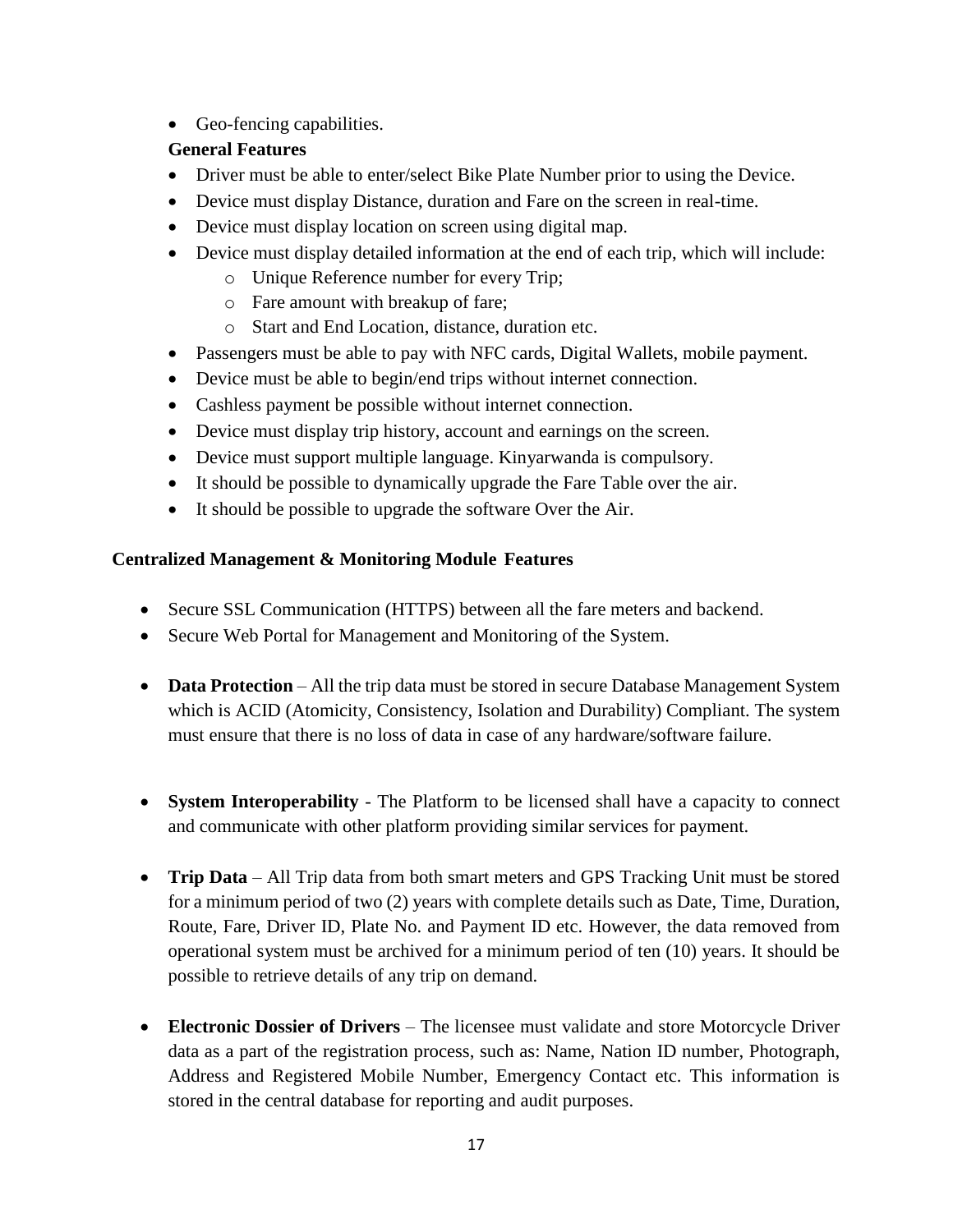Geo-fencing capabilities.

# **General Features**

- Driver must be able to enter/select Bike Plate Number prior to using the Device.
- Device must display Distance, duration and Fare on the screen in real-time.
- Device must display location on screen using digital map.
- Device must display detailed information at the end of each trip, which will include:
	- o Unique Reference number for every Trip;
	- o Fare amount with breakup of fare;
	- o Start and End Location, distance, duration etc.
- Passengers must be able to pay with NFC cards, Digital Wallets, mobile payment.
- Device must be able to begin/end trips without internet connection.
- Cashless payment be possible without internet connection.
- Device must display trip history, account and earnings on the screen.
- Device must support multiple language. Kinyarwanda is compulsory.
- It should be possible to dynamically upgrade the Fare Table over the air.
- It should be possible to upgrade the software Over the Air.

# **Centralized Management & Monitoring Module Features**

- Secure SSL Communication (HTTPS) between all the fare meters and backend.
- Secure Web Portal for Management and Monitoring of the System.
- **Data Protection** All the trip data must be stored in secure Database Management System which is ACID (Atomicity, Consistency, Isolation and Durability) Compliant. The system must ensure that there is no loss of data in case of any hardware/software failure.
- **System Interoperability** The Platform to be licensed shall have a capacity to connect and communicate with other platform providing similar services for payment.
- **Trip Data** All Trip data from both smart meters and GPS Tracking Unit must be stored for a minimum period of two (2) years with complete details such as Date, Time, Duration, Route, Fare, Driver ID, Plate No. and Payment ID etc. However, the data removed from operational system must be archived for a minimum period of ten (10) years. It should be possible to retrieve details of any trip on demand.
- **Electronic Dossier of Drivers** The licensee must validate and store Motorcycle Driver data as a part of the registration process, such as: Name, Nation ID number, Photograph, Address and Registered Mobile Number, Emergency Contact etc. This information is stored in the central database for reporting and audit purposes.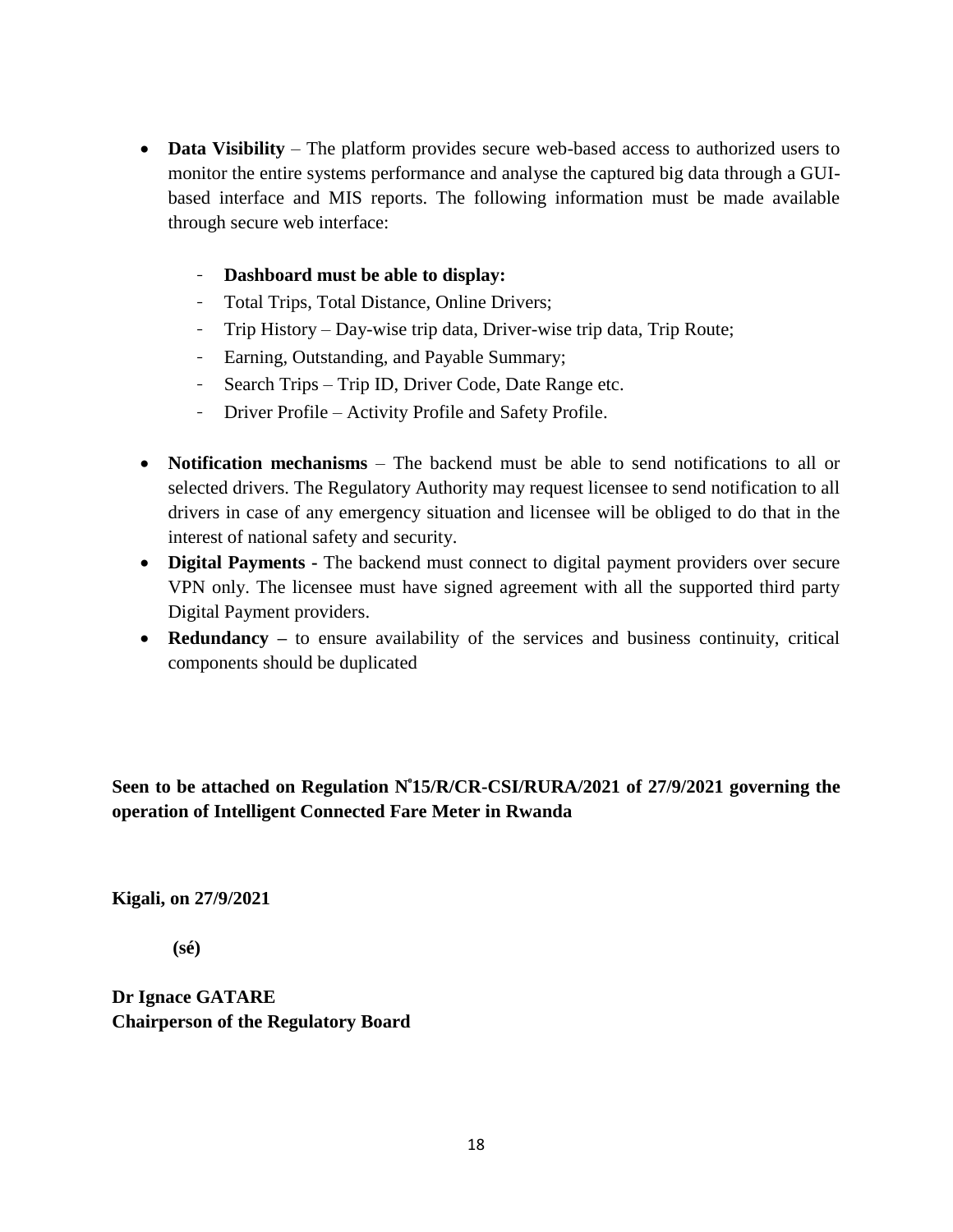- **Data Visibility** The platform provides secure web-based access to authorized users to monitor the entire systems performance and analyse the captured big data through a GUIbased interface and MIS reports. The following information must be made available through secure web interface:
	- **Dashboard must be able to display:**
	- Total Trips, Total Distance, Online Drivers;
	- Trip History Day-wise trip data, Driver-wise trip data, Trip Route;
	- Earning, Outstanding, and Payable Summary;
	- Search Trips Trip ID, Driver Code, Date Range etc.
	- Driver Profile Activity Profile and Safety Profile.
- **Notification mechanisms** The backend must be able to send notifications to all or selected drivers. The Regulatory Authority may request licensee to send notification to all drivers in case of any emergency situation and licensee will be obliged to do that in the interest of national safety and security.
- **Digital Payments -** The backend must connect to digital payment providers over secure VPN only. The licensee must have signed agreement with all the supported third party Digital Payment providers.
- **Redundancy** to ensure availability of the services and business continuity, critical components should be duplicated

Seen to be attached on Regulation N°15/R/CR-CSI/RURA/2021 of 27/9/2021 governing the **operation of Intelligent Connected Fare Meter in Rwanda** 

**Kigali, on 27/9/2021**

 **(sé)**

**Dr Ignace GATARE Chairperson of the Regulatory Board**